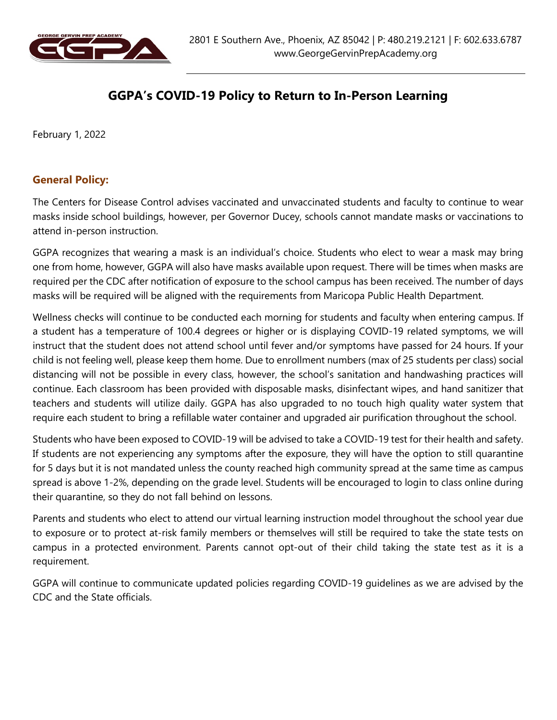

# GGPA's COVID-19 Policy to Return to In-Person Learning

February 1, 2022

#### General Policy:

The Centers for Disease Control advises vaccinated and unvaccinated students and faculty to continue to wear masks inside school buildings, however, per Governor Ducey, schools cannot mandate masks or vaccinations to attend in-person instruction.

GGPA recognizes that wearing a mask is an individual's choice. Students who elect to wear a mask may bring one from home, however, GGPA will also have masks available upon request. There will be times when masks are required per the CDC after notification of exposure to the school campus has been received. The number of days masks will be required will be aligned with the requirements from Maricopa Public Health Department.

Wellness checks will continue to be conducted each morning for students and faculty when entering campus. If a student has a temperature of 100.4 degrees or higher or is displaying COVID-19 related symptoms, we will instruct that the student does not attend school until fever and/or symptoms have passed for 24 hours. If your child is not feeling well, please keep them home. Due to enrollment numbers (max of 25 students per class) social distancing will not be possible in every class, however, the school's sanitation and handwashing practices will continue. Each classroom has been provided with disposable masks, disinfectant wipes, and hand sanitizer that teachers and students will utilize daily. GGPA has also upgraded to no touch high quality water system that require each student to bring a refillable water container and upgraded air purification throughout the school.

Students who have been exposed to COVID-19 will be advised to take a COVID-19 test for their health and safety. If students are not experiencing any symptoms after the exposure, they will have the option to still quarantine for 5 days but it is not mandated unless the county reached high community spread at the same time as campus spread is above 1-2%, depending on the grade level. Students will be encouraged to login to class online during their quarantine, so they do not fall behind on lessons.

Parents and students who elect to attend our virtual learning instruction model throughout the school year due to exposure or to protect at-risk family members or themselves will still be required to take the state tests on campus in a protected environment. Parents cannot opt-out of their child taking the state test as it is a requirement.

GGPA will continue to communicate updated policies regarding COVID-19 guidelines as we are advised by the CDC and the State officials.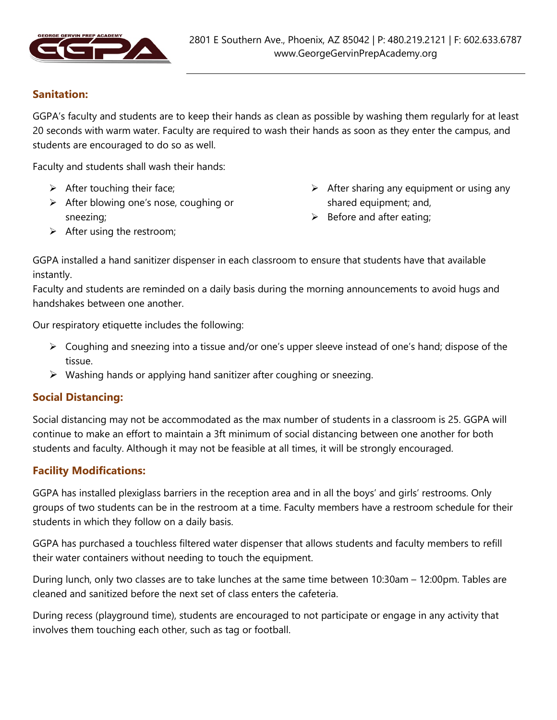

# Sanitation:

GGPA's faculty and students are to keep their hands as clean as possible by washing them regularly for at least 20 seconds with warm water. Faculty are required to wash their hands as soon as they enter the campus, and students are encouraged to do so as well.

Faculty and students shall wash their hands:

- $\triangleright$  After touching their face;
- $\triangleright$  After blowing one's nose, coughing or sneezing;
- $\triangleright$  After sharing any equipment or using any shared equipment; and,
- $\triangleright$  Before and after eating;

 $\triangleright$  After using the restroom;

GGPA installed a hand sanitizer dispenser in each classroom to ensure that students have that available instantly.

Faculty and students are reminded on a daily basis during the morning announcements to avoid hugs and handshakes between one another.

Our respiratory etiquette includes the following:

- $\triangleright$  Coughing and sneezing into a tissue and/or one's upper sleeve instead of one's hand; dispose of the tissue.
- $\triangleright$  Washing hands or applying hand sanitizer after coughing or sneezing.

#### Social Distancing:

Social distancing may not be accommodated as the max number of students in a classroom is 25. GGPA will continue to make an effort to maintain a 3ft minimum of social distancing between one another for both students and faculty. Although it may not be feasible at all times, it will be strongly encouraged.

#### Facility Modifications:

GGPA has installed plexiglass barriers in the reception area and in all the boys' and girls' restrooms. Only groups of two students can be in the restroom at a time. Faculty members have a restroom schedule for their students in which they follow on a daily basis.

GGPA has purchased a touchless filtered water dispenser that allows students and faculty members to refill their water containers without needing to touch the equipment.

During lunch, only two classes are to take lunches at the same time between 10:30am – 12:00pm. Tables are cleaned and sanitized before the next set of class enters the cafeteria.

During recess (playground time), students are encouraged to not participate or engage in any activity that involves them touching each other, such as tag or football.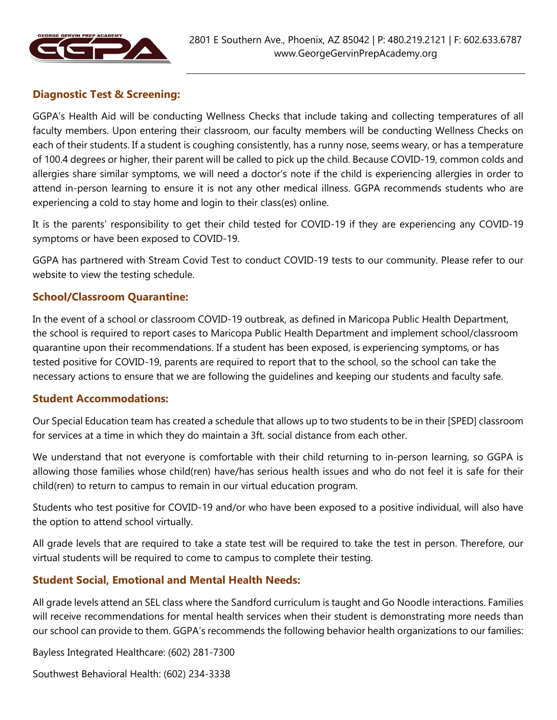

#### Diagnostic Test & Screening:

GGPA's Health Aid will be conducting Wellness Checks that include taking and collecting temperatures of all faculty members. Upon entering their classroom, our faculty members will be conducting Wellness Checks on each of their students. If a student is coughing consistently, has a runny nose, seems weary, or has a temperature of 100.4 degrees or higher, their parent will be called to pick up the child. Because COVID-19, common colds and allergies share similar symptoms, we will need a doctor's note if the child is experiencing allergies in order to attend in-person learning to ensure it is not any other medical illness. GGPA recommends students who are experiencing a cold to stay home and login to their class(es) online.

It is the parents' responsibility to get their child tested for COVID-19 if they are experiencing any COVID-19 symptoms or have been exposed to COVID-19.

GGPA has partnered with Stream Covid Test to conduct COVID-19 tests to our community. Please refer to our website to view the testing schedule.

#### School/Classroom Quarantine:

In the event of a school or classroom COVID-19 outbreak, as defined in Maricopa Public Health Department, the school is required to report cases to Maricopa Public Health Department and implement school/classroom quarantine upon their recommendations. If a student has been exposed, is experiencing symptoms, or has tested positive for COVID-19, parents are required to report that to the school, so the school can take the necessary actions to ensure that we are following the guidelines and keeping our students and faculty safe.

#### Student Accommodations:

Our Special Education team has created a schedule that allows up to two students to be in their [SPED] classroom for services at a time in which they do maintain a 3ft. social distance from each other.

We understand that not everyone is comfortable with their child returning to in-person learning, so GGPA is allowing those families whose child(ren) have/has serious health issues and who do not feel it is safe for their child(ren) to return to campus to remain in our virtual education program.

Students who test positive for COVID-19 and/or who have been exposed to a positive individual, will also have the option to attend school virtually.

All grade levels that are required to take a state test will be required to take the test in person. Therefore, our virtual students will be required to come to campus to complete their testing.

#### Student Social, Emotional and Mental Health Needs:

All grade levels attend an SEL class where the Sandford curriculum is taught and Go Noodle interactions. Families will receive recommendations for mental health services when their student is demonstrating more needs than our school can provide to them. GGPA's recommends the following behavior health organizations to our families:

Bayless Integrated Healthcare: (602) 281-7300

Southwest Behavioral Health: (602) 234-3338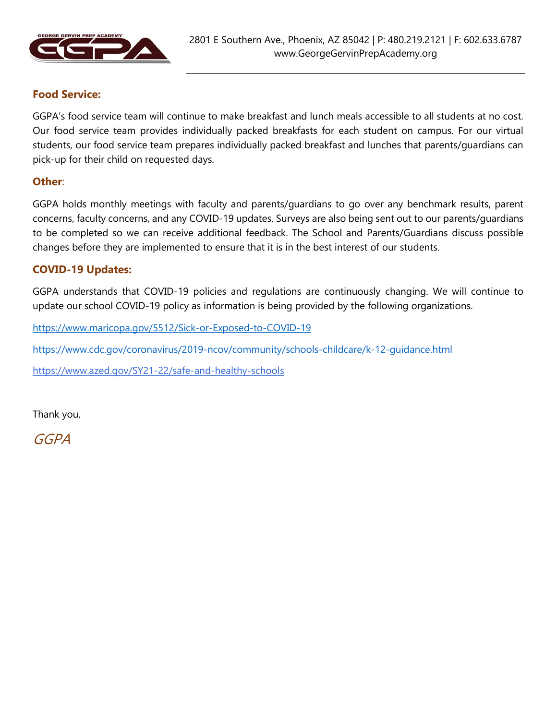

#### Food Service:

GGPA's food service team will continue to make breakfast and lunch meals accessible to all students at no cost. Our food service team provides individually packed breakfasts for each student on campus. For our virtual students, our food service team prepares individually packed breakfast and lunches that parents/guardians can pick-up for their child on requested days.

#### Other:

GGPA holds monthly meetings with faculty and parents/guardians to go over any benchmark results, parent concerns, faculty concerns, and any COVID-19 updates. Surveys are also being sent out to our parents/guardians to be completed so we can receive additional feedback. The School and Parents/Guardians discuss possible changes before they are implemented to ensure that it is in the best interest of our students.

#### COVID-19 Updates:

GGPA understands that COVID-19 policies and regulations are continuously changing. We will continue to update our school COVID-19 policy as information is being provided by the following organizations.

https://www.maricopa.gov/5512/Sick-or-Exposed-to-COVID-19

https://www.cdc.gov/coronavirus/2019-ncov/community/schools-childcare/k-12-guidance.html

https://www.azed.gov/SY21-22/safe-and-healthy-schools

Thank you,

GGPA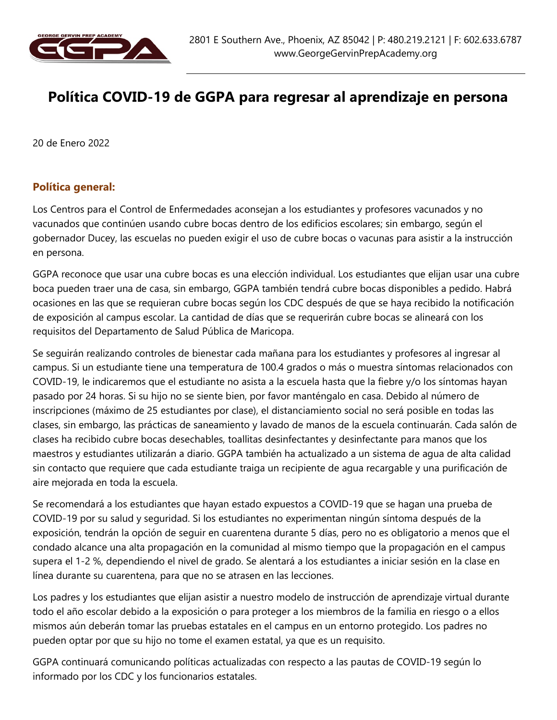

# Política COVID-19 de GGPA para regresar al aprendizaje en persona

20 de Enero 2022

#### Política general:

Los Centros para el Control de Enfermedades aconsejan a los estudiantes y profesores vacunados y no vacunados que continúen usando cubre bocas dentro de los edificios escolares; sin embargo, según el gobernador Ducey, las escuelas no pueden exigir el uso de cubre bocas o vacunas para asistir a la instrucción en persona.

GGPA reconoce que usar una cubre bocas es una elección individual. Los estudiantes que elijan usar una cubre boca pueden traer una de casa, sin embargo, GGPA también tendrá cubre bocas disponibles a pedido. Habrá ocasiones en las que se requieran cubre bocas según los CDC después de que se haya recibido la notificación de exposición al campus escolar. La cantidad de días que se requerirán cubre bocas se alineará con los requisitos del Departamento de Salud Pública de Maricopa.

Se seguirán realizando controles de bienestar cada mañana para los estudiantes y profesores al ingresar al campus. Si un estudiante tiene una temperatura de 100.4 grados o más o muestra síntomas relacionados con COVID-19, le indicaremos que el estudiante no asista a la escuela hasta que la fiebre y/o los síntomas hayan pasado por 24 horas. Si su hijo no se siente bien, por favor manténgalo en casa. Debido al número de inscripciones (máximo de 25 estudiantes por clase), el distanciamiento social no será posible en todas las clases, sin embargo, las prácticas de saneamiento y lavado de manos de la escuela continuarán. Cada salón de clases ha recibido cubre bocas desechables, toallitas desinfectantes y desinfectante para manos que los maestros y estudiantes utilizarán a diario. GGPA también ha actualizado a un sistema de agua de alta calidad sin contacto que requiere que cada estudiante traiga un recipiente de agua recargable y una purificación de aire mejorada en toda la escuela.

Se recomendará a los estudiantes que hayan estado expuestos a COVID-19 que se hagan una prueba de COVID-19 por su salud y seguridad. Si los estudiantes no experimentan ningún síntoma después de la exposición, tendrán la opción de seguir en cuarentena durante 5 días, pero no es obligatorio a menos que el condado alcance una alta propagación en la comunidad al mismo tiempo que la propagación en el campus supera el 1-2 %, dependiendo el nivel de grado. Se alentará a los estudiantes a iniciar sesión en la clase en línea durante su cuarentena, para que no se atrasen en las lecciones.

Los padres y los estudiantes que elijan asistir a nuestro modelo de instrucción de aprendizaje virtual durante todo el año escolar debido a la exposición o para proteger a los miembros de la familia en riesgo o a ellos mismos aún deberán tomar las pruebas estatales en el campus en un entorno protegido. Los padres no pueden optar por que su hijo no tome el examen estatal, ya que es un requisito.

GGPA continuará comunicando políticas actualizadas con respecto a las pautas de COVID-19 según lo informado por los CDC y los funcionarios estatales.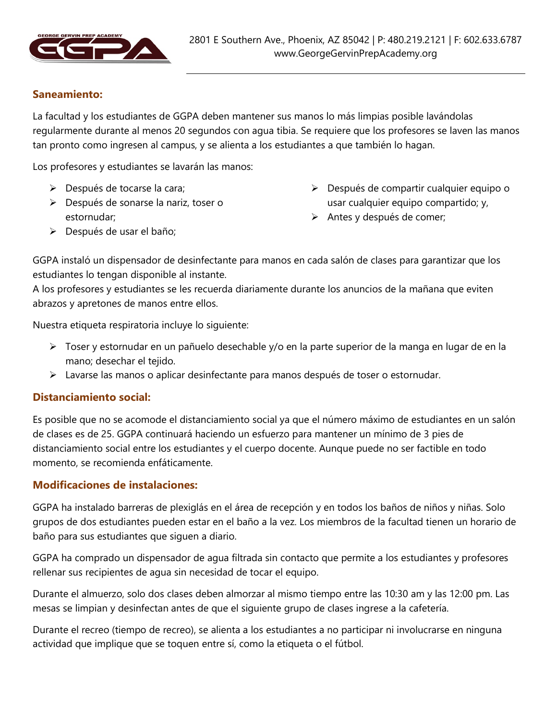

#### Saneamiento:

La facultad y los estudiantes de GGPA deben mantener sus manos lo más limpias posible lavándolas regularmente durante al menos 20 segundos con agua tibia. Se requiere que los profesores se laven las manos tan pronto como ingresen al campus, y se alienta a los estudiantes a que también lo hagan.

Los profesores y estudiantes se lavarán las manos:

- **Después de tocarse la cara;**
- Después de sonarse la nariz, toser o estornudar;
- Después de compartir cualquier equipo o usar cualquier equipo compartido; y,
- > Antes y después de comer;

Después de usar el baño;

GGPA instaló un dispensador de desinfectante para manos en cada salón de clases para garantizar que los estudiantes lo tengan disponible al instante.

A los profesores y estudiantes se les recuerda diariamente durante los anuncios de la mañana que eviten abrazos y apretones de manos entre ellos.

Nuestra etiqueta respiratoria incluye lo siguiente:

- Toser y estornudar en un pañuelo desechable y/o en la parte superior de la manga en lugar de en la mano; desechar el tejido.
- Lavarse las manos o aplicar desinfectante para manos después de toser o estornudar.

#### Distanciamiento social:

Es posible que no se acomode el distanciamiento social ya que el número máximo de estudiantes en un salón de clases es de 25. GGPA continuará haciendo un esfuerzo para mantener un mínimo de 3 pies de distanciamiento social entre los estudiantes y el cuerpo docente. Aunque puede no ser factible en todo momento, se recomienda enfáticamente.

#### Modificaciones de instalaciones:

GGPA ha instalado barreras de plexiglás en el área de recepción y en todos los baños de niños y niñas. Solo grupos de dos estudiantes pueden estar en el baño a la vez. Los miembros de la facultad tienen un horario de baño para sus estudiantes que siguen a diario.

GGPA ha comprado un dispensador de agua filtrada sin contacto que permite a los estudiantes y profesores rellenar sus recipientes de agua sin necesidad de tocar el equipo.

Durante el almuerzo, solo dos clases deben almorzar al mismo tiempo entre las 10:30 am y las 12:00 pm. Las mesas se limpian y desinfectan antes de que el siguiente grupo de clases ingrese a la cafetería.

Durante el recreo (tiempo de recreo), se alienta a los estudiantes a no participar ni involucrarse en ninguna actividad que implique que se toquen entre sí, como la etiqueta o el fútbol.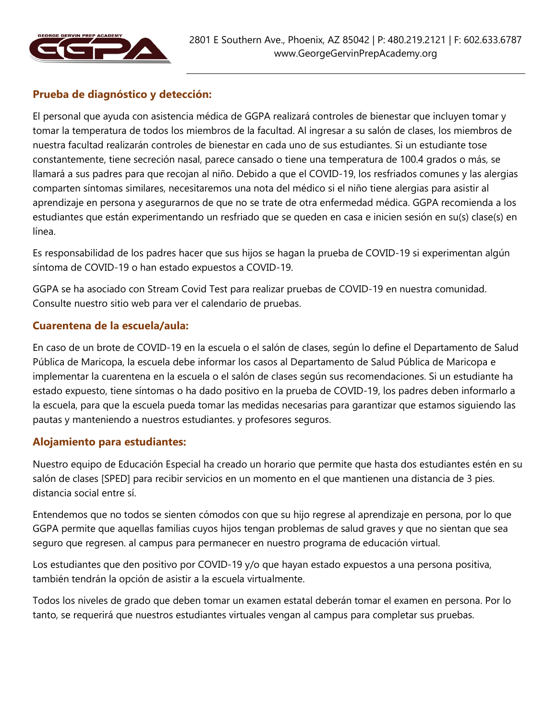

# Prueba de diagnóstico y detección:

El personal que ayuda con asistencia médica de GGPA realizará controles de bienestar que incluyen tomar y tomar la temperatura de todos los miembros de la facultad. Al ingresar a su salón de clases, los miembros de nuestra facultad realizarán controles de bienestar en cada uno de sus estudiantes. Si un estudiante tose constantemente, tiene secreción nasal, parece cansado o tiene una temperatura de 100.4 grados o más, se llamará a sus padres para que recojan al niño. Debido a que el COVID-19, los resfriados comunes y las alergias comparten síntomas similares, necesitaremos una nota del médico si el niño tiene alergias para asistir al aprendizaje en persona y asegurarnos de que no se trate de otra enfermedad médica. GGPA recomienda a los estudiantes que están experimentando un resfriado que se queden en casa e inicien sesión en su(s) clase(s) en línea.

Es responsabilidad de los padres hacer que sus hijos se hagan la prueba de COVID-19 si experimentan algún síntoma de COVID-19 o han estado expuestos a COVID-19.

GGPA se ha asociado con Stream Covid Test para realizar pruebas de COVID-19 en nuestra comunidad. Consulte nuestro sitio web para ver el calendario de pruebas.

#### Cuarentena de la escuela/aula:

En caso de un brote de COVID-19 en la escuela o el salón de clases, según lo define el Departamento de Salud Pública de Maricopa, la escuela debe informar los casos al Departamento de Salud Pública de Maricopa e implementar la cuarentena en la escuela o el salón de clases según sus recomendaciones. Si un estudiante ha estado expuesto, tiene síntomas o ha dado positivo en la prueba de COVID-19, los padres deben informarlo a la escuela, para que la escuela pueda tomar las medidas necesarias para garantizar que estamos siguiendo las pautas y manteniendo a nuestros estudiantes. y profesores seguros.

#### Alojamiento para estudiantes:

Nuestro equipo de Educación Especial ha creado un horario que permite que hasta dos estudiantes estén en su salón de clases [SPED] para recibir servicios en un momento en el que mantienen una distancia de 3 pies. distancia social entre sí.

Entendemos que no todos se sienten cómodos con que su hijo regrese al aprendizaje en persona, por lo que GGPA permite que aquellas familias cuyos hijos tengan problemas de salud graves y que no sientan que sea seguro que regresen. al campus para permanecer en nuestro programa de educación virtual.

Los estudiantes que den positivo por COVID-19 y/o que hayan estado expuestos a una persona positiva, también tendrán la opción de asistir a la escuela virtualmente.

Todos los niveles de grado que deben tomar un examen estatal deberán tomar el examen en persona. Por lo tanto, se requerirá que nuestros estudiantes virtuales vengan al campus para completar sus pruebas.